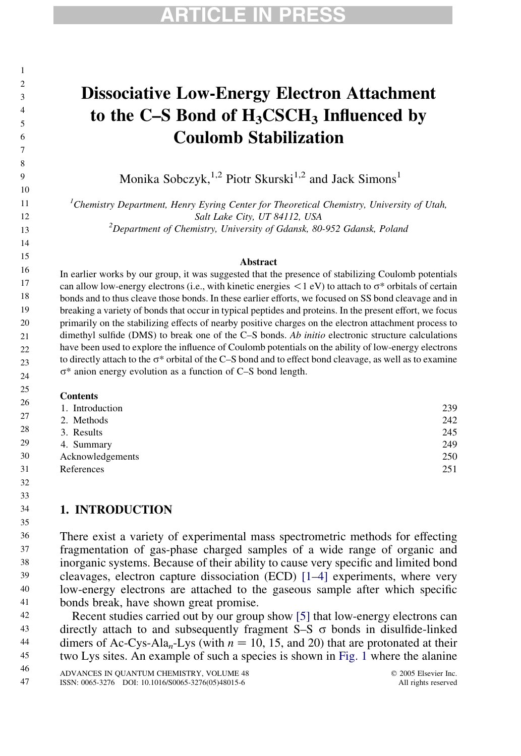### Dissociative Low-Energy Electron Attachment to the C–S Bond of  $H_3CSCH_3$  Influenced by Coulomb Stabilization

Monika Sobczyk,<sup>1,2</sup> Piotr Skurski<sup>1,2</sup> and Jack Simons<sup>1</sup>

 ${}^{1}$ Chemistry Department, Henry Eyring Center for Theoretical Chemistry, University of Utah, Salt Lake City, UT 84112, USA<br><sup>2</sup>Department of Chemistry, University of Gdansk, 80-952 Gdansk, Poland

#### Abstract

In earlier works by our group, it was suggested that the presence of stabilizing Coulomb potentials can allow low-energy electrons (i.e., with kinetic energies  $\langle 1 \text{ eV} \rangle$  to attach to  $\sigma^*$  orbitals of certain bonds and to thus cleave those bonds. In these earlier efforts, we focused on SS bond cleavage and in breaking a variety of bonds that occur in typical peptides and proteins. In the present effort, we focus primarily on the stabilizing effects of nearby positive charges on the electron attachment process to dimethyl sulfide (DMS) to break one of the C–S bonds. Ab initio electronic structure calculations have been used to explore the influence of Coulomb potentials on the ability of low-energy electrons to directly attach to the  $\sigma^*$  orbital of the C–S bond and to effect bond cleavage, as well as to examine  $\sigma^*$  anion energy evolution as a function of C–S bond length.

#### **Contents**

| 1. Introduction  | 239 |
|------------------|-----|
| 2. Methods       | 242 |
| 3. Results       | 245 |
| 4. Summary       | 249 |
| Acknowledgements | 250 |
| References       | 251 |

#### 1. INTRODUCTION

There exist a variety of experimental mass spectrometric methods for effecting fragmentation of gas-phase charged samples of a wide range of organic and inorganic systems. Because of their ability to cause very specific and limited bond cleavages, electron capture dissociation (ECD) [\[1–4\]](#page-12-0) experiments, where very low-energy electrons are attached to the gaseous sample after which specific bonds break, have shown great promise. 36 37 38 39 40 41

Recent studies carried out by our group show [\[5\]](#page-12-0) that low-energy electrons can directly attach to and subsequently fragment S-S  $\sigma$  bonds in disulfide-linked dimers of Ac-Cys-Ala<sub>n</sub>-Lys (with  $n = 10, 15,$  and 20) that are protonated at their two Lys sites. An example of such a species is shown in [Fig. 1](#page-1-0) where the alanine 42 43 44 45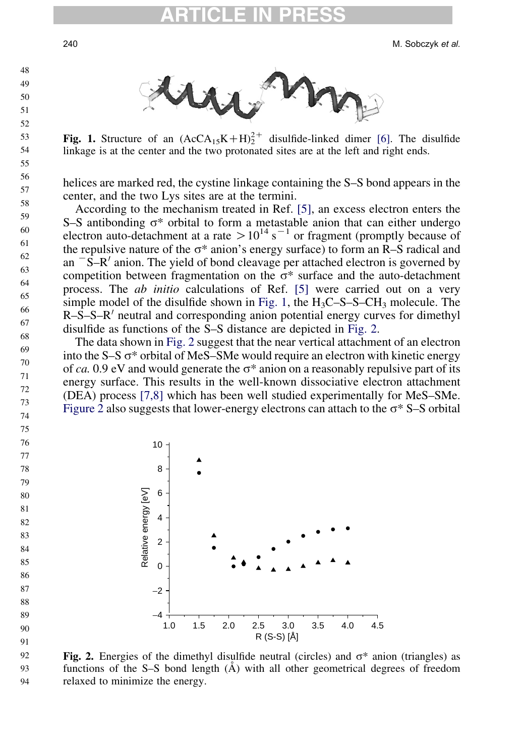240 M. Sobczyk et al.



**Fig. 1.** Structure of an  $(AccA_{15}K+H)_2^{2+}$  disulfide-linked dimer [\[6\].](#page-12-0) The disulfide linkage is at the center and the two protonated sites are at the left and right ends.

helices are marked red, the cystine linkage containing the S–S bond appears in the center, and the two Lys sites are at the termini.

According to the mechanism treated in Ref. [\[5\],](#page-12-0) an excess electron enters the S–S antibonding  $\sigma^*$  orbital to form a metastable anion that can either undergo electron auto-detachment at a rate  $> 10^{14}$  s<sup>-1</sup> or fragment (promptly because of the repulsive nature of the  $\sigma^*$  anion's energy surface) to form an R–S radical and an  $\overline{\phantom{a}}$ S–R<sup> $\prime$ </sup> anion. The yield of bond cleavage per attached electron is governed by competition between fragmentation on the  $\sigma^*$  surface and the auto-detachment process. The ab initio calculations of Ref. [\[5\]](#page-12-0) were carried out on a very simple model of the disulfide shown in Fig. 1, the  $H_3C-S-S-CH_3$  molecule. The  $R-S-S-R'$  neutral and corresponding anion potential energy curves for dimethyl disulfide as functions of the S–S distance are depicted in Fig. 2.

The data shown in Fig. 2 suggest that the near vertical attachment of an electron into the  $S-S \sigma^*$  orbital of MeS–SMe would require an electron with kinetic energy of ca. 0.9 eV and would generate the  $\sigma^*$  anion on a reasonably repulsive part of its energy surface. This results in the well-known dissociative electron attachment (DEA) process [\[7,8\]](#page-12-0) which has been well studied experimentally for MeS–SMe. Figure 2 also suggests that lower-energy electrons can attach to the  $\sigma^*$  S–S orbital



 

Fig. 2. Energies of the dimethyl disulfide neutral (circles) and  $\sigma^*$  anion (triangles) as functions of the S–S bond length  $(A)$  with all other geometrical degrees of freedom relaxed to minimize the energy. 

<span id="page-1-0"></span>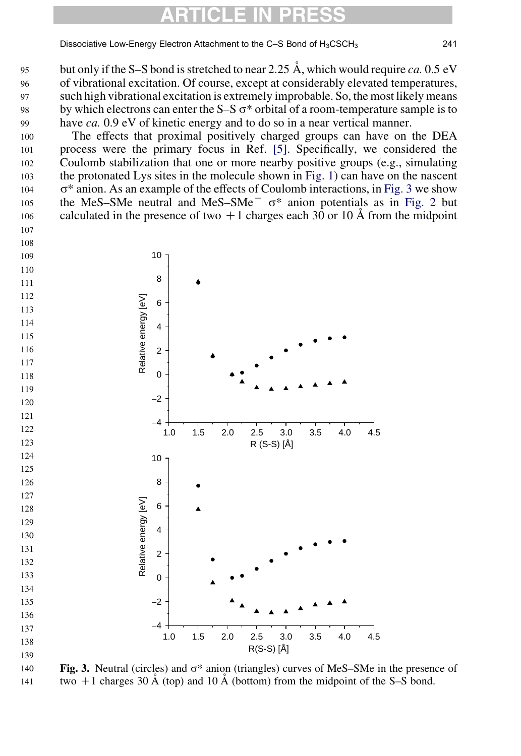Dissociative Low-Energy Electron Attachment to the C-S Bond of H<sub>3</sub>CSCH<sub>3</sub> 241

<span id="page-2-0"></span>but only if the S–S bond is stretched to near 2.25  $\AA$ , which would require ca. 0.5 eV of vibrational excitation. Of course, except at considerably elevated temperatures, such high vibrational excitation is extremely improbable. So, the most likely means by which electrons can enter the  $S-S \sigma^*$  orbital of a room-temperature sample is to have *ca*. 0.9 eV of kinetic energy and to do so in a near vertical manner. 

The effects that proximal positively charged groups can have on the DEA process were the primary focus in Ref. [\[5\]](#page-12-0). Specifically, we considered the Coulomb stabilization that one or more nearby positive groups (e.g., simulating the protonated Lys sites in the molecule shown in [Fig. 1](#page-1-0)) can have on the nascent  $\sigma^*$  anion. As an example of the effects of Coulomb interactions, in Fig. 3 we show the MeS–SMe neutral and MeS–SMe<sup> $-$ </sup>  $\sigma^*$  anion potentials as in [Fig. 2](#page-1-0) but calculated in the presence of two  $+1$  charges each 30 or 10  $\AA$  from the midpoint 



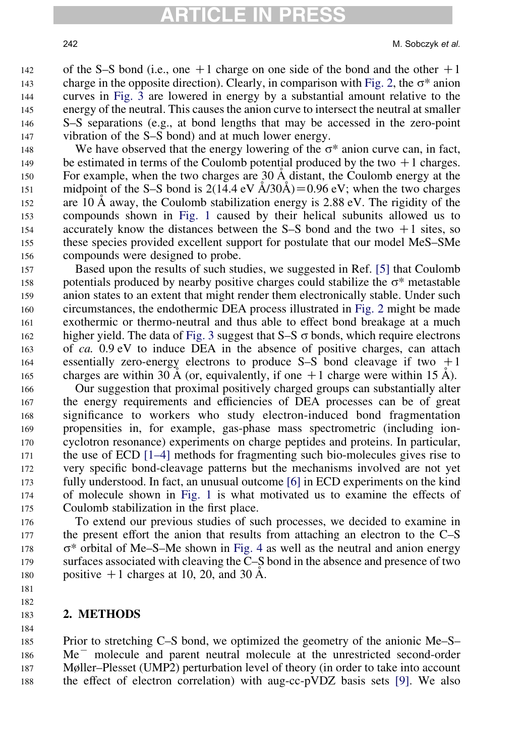of the S–S bond (i.e., one  $+1$  charge on one side of the bond and the other  $+1$ charge in the opposite direction). Clearly, in comparison with [Fig. 2](#page-1-0), the  $\sigma^*$  anion curves in [Fig. 3](#page-2-0) are lowered in energy by a substantial amount relative to the energy of the neutral. This causes the anion curve to intersect the neutral at smaller S–S separations (e.g., at bond lengths that may be accessed in the zero-point vibration of the S–S bond) and at much lower energy. 142 143 144 145 146 147

We have observed that the energy lowering of the  $\sigma^*$  anion curve can, in fact, be estimated in terms of the Coulomb potential produced by the two  $+1$  charges. For example, when the two charges are 30 Å distant, the Coulomb energy at the midpoint of the S–S bond is  $2(14.4 \text{ eV} \text{A}/30\text{A}) = 0.96 \text{ eV}$ ; when the two charges are 10  $\AA$  away, the Coulomb stabilization energy is 2.88 eV. The rigidity of the compounds shown in [Fig. 1](#page-1-0) caused by their helical subunits allowed us to accurately know the distances between the  $S-S$  bond and the two  $+1$  sites, so these species provided excellent support for postulate that our model MeS–SMe compounds were designed to probe. 148 149 150 151 152 153 154 155 156

Based upon the results of such studies, we suggested in Ref. [\[5\]](#page-12-0) that Coulomb potentials produced by nearby positive charges could stabilize the  $\sigma^*$  metastable anion states to an extent that might render them electronically stable. Under such circumstances, the endothermic DEA process illustrated in [Fig. 2](#page-1-0) might be made exothermic or thermo-neutral and thus able to effect bond breakage at a much higher yield. The data of [Fig. 3](#page-2-0) suggest that  $S-S$   $\sigma$  bonds, which require electrons of ca. 0.9 eV to induce DEA in the absence of positive charges, can attach essentially zero-energy electrons to produce S–S bond cleavage if two  $+1$ charges are within 30 Å (or, equivalently, if one  $+1$  charge were within 15 Å). 157 158 159 160 161 162 163 164 165

Our suggestion that proximal positively charged groups can substantially alter the energy requirements and efficiencies of DEA processes can be of great significance to workers who study electron-induced bond fragmentation propensities in, for example, gas-phase mass spectrometric (including ioncyclotron resonance) experiments on charge peptides and proteins. In particular, the use of ECD [\[1–4\]](#page-12-0) methods for fragmenting such bio-molecules gives rise to very specific bond-cleavage patterns but the mechanisms involved are not yet fully understood. In fact, an unusual outcome [\[6\]](#page-12-0) in ECD experiments on the kind of molecule shown in [Fig. 1](#page-1-0) is what motivated us to examine the effects of Coulomb stabilization in the first place. 166 167 168 169 170 171 172 173 174 175

To extend our previous studies of such processes, we decided to examine in the present effort the anion that results from attaching an electron to the C–S  $\sigma^*$  orbital of Me–S–Me shown in [Fig. 4](#page-4-0) as well as the neutral and anion energy surfaces associated with cleaving the C–S bond in the absence and presence of two positive  $+1$  charges at 10, 20, and 30 Å. 176 177 178 179 180

181

#### 182 183 184

#### 2. METHODS

Prior to stretching C–S bond, we optimized the geometry of the anionic Me–S–  $Me$ <sup> $-$ </sup> molecule and parent neutral molecule at the unrestricted second-order Møller–Plesset (UMP2) perturbation level of theory (in order to take into account the effect of electron correlation) with aug-cc-pVDZ basis sets [\[9\].](#page-12-0) We also 185 186 187 188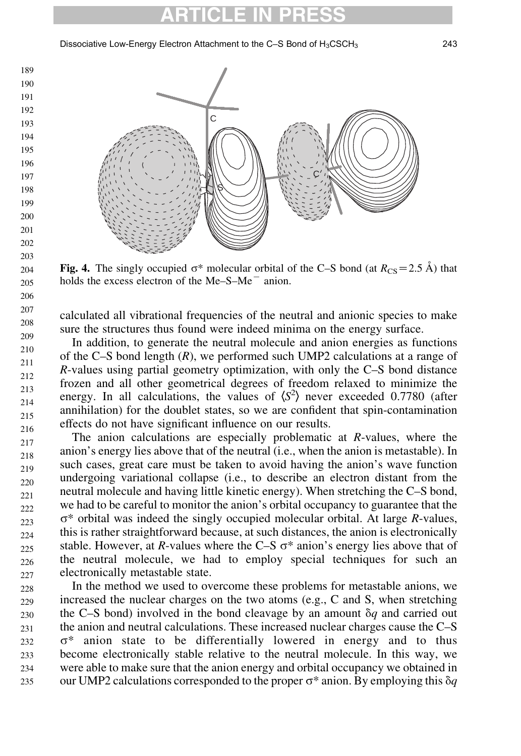Dissociative Low-Energy Electron Attachment to the C-S Bond of H<sub>3</sub>CSCH<sub>3</sub> 243

<span id="page-4-0"></span>

Fig. 4. The singly occupied  $\sigma^*$  molecular orbital of the C–S bond (at  $R_{\text{CS}}=2.5 \text{ Å}$ ) that holds the excess electron of the  $Me-S-Me$  anion.

calculated all vibrational frequencies of the neutral and anionic species to make sure the structures thus found were indeed minima on the energy surface.

In addition, to generate the neutral molecule and anion energies as functions of the C–S bond length  $(R)$ , we performed such UMP2 calculations at a range of R-values using partial geometry optimization, with only the C–S bond distance frozen and all other geometrical degrees of freedom relaxed to minimize the energy. In all calculations, the values of  $\langle S^2 \rangle$  never exceeded 0.7780 (after annihilation) for the doublet states, so we are confident that spin-contamination effects do not have significant influence on our results.

The anion calculations are especially problematic at R-values, where the anion's energy lies above that of the neutral (i.e., when the anion is metastable). In such cases, great care must be taken to avoid having the anion's wave function undergoing variational collapse (i.e., to describe an electron distant from the neutral molecule and having little kinetic energy). When stretching the C–S bond, we had to be careful to monitor the anion's orbital occupancy to guarantee that the  $\sigma^*$  orbital was indeed the singly occupied molecular orbital. At large R-values, this is rather straightforward because, at such distances, the anion is electronically stable. However, at R-values where the C–S  $\sigma^*$  anion's energy lies above that of the neutral molecule, we had to employ special techniques for such an electronically metastable state. 217 218 219 220 221 222 223  $224$ 225 226 227

In the method we used to overcome these problems for metastable anions, we increased the nuclear charges on the two atoms (e.g., C and S, when stretching the C–S bond) involved in the bond cleavage by an amount  $\delta q$  and carried out the anion and neutral calculations. These increased nuclear charges cause the C–S  $\sigma^*$  anion state to be differentially lowered in energy and to thus become electronically stable relative to the neutral molecule. In this way, we were able to make sure that the anion energy and orbital occupancy we obtained in our UMP2 calculations corresponded to the proper  $\sigma^*$  anion. By employing this  $\delta q$ 228 229 230 231 232 233 234 235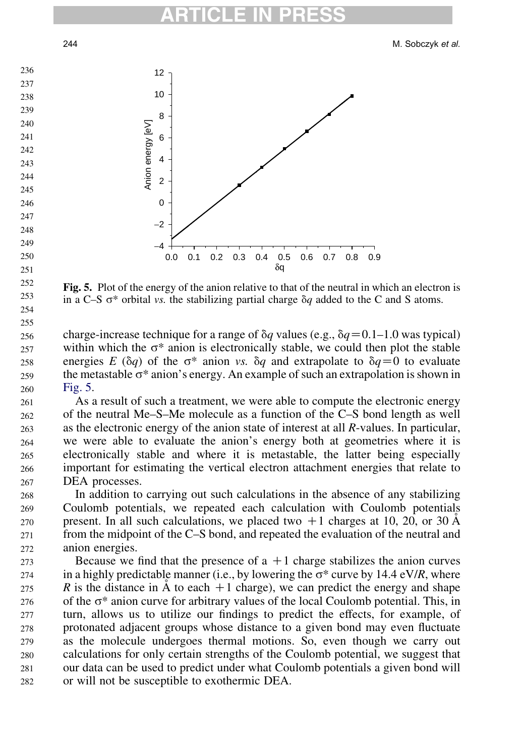

Fig. 5. Plot of the energy of the anion relative to that of the neutral in which an electron is in a C–S  $\sigma^*$  orbital vs. the stabilizing partial charge  $\delta q$  added to the C and S atoms.

charge-increase technique for a range of  $\delta q$  values (e.g.,  $\delta q = 0.1$ –1.0 was typical) within which the  $\sigma^*$  anion is electronically stable, we could then plot the stable energies E ( $\delta q$ ) of the  $\sigma^*$  anion vs.  $\delta q$  and extrapolate to  $\delta q=0$  to evaluate the metastable  $\sigma^*$  anion's energy. An example of such an extrapolation is shown in Fig. 5. 

As a result of such a treatment, we were able to compute the electronic energy of the neutral Me–S–Me molecule as a function of the C–S bond length as well as the electronic energy of the anion state of interest at all R-values. In particular, we were able to evaluate the anion's energy both at geometries where it is electronically stable and where it is metastable, the latter being especially important for estimating the vertical electron attachment energies that relate to DEA processes. 

In addition to carrying out such calculations in the absence of any stabilizing Coulomb potentials, we repeated each calculation with Coulomb potentials present. In all such calculations, we placed two  $+1$  charges at 10, 20, or 30  $\AA$ from the midpoint of the C–S bond, and repeated the evaluation of the neutral and anion energies. 

Because we find that the presence of  $a + 1$  charge stabilizes the anion curves in a highly predictable manner (i.e., by lowering the  $\sigma^*$  curve by 14.4 eV/R, where R is the distance in  $\dot{A}$  to each  $+1$  charge), we can predict the energy and shape of the  $\sigma^*$  anion curve for arbitrary values of the local Coulomb potential. This, in turn, allows us to utilize our findings to predict the effects, for example, of protonated adjacent groups whose distance to a given bond may even fluctuate as the molecule undergoes thermal motions. So, even though we carry out calculations for only certain strengths of the Coulomb potential, we suggest that our data can be used to predict under what Coulomb potentials a given bond will or will not be susceptible to exothermic DEA.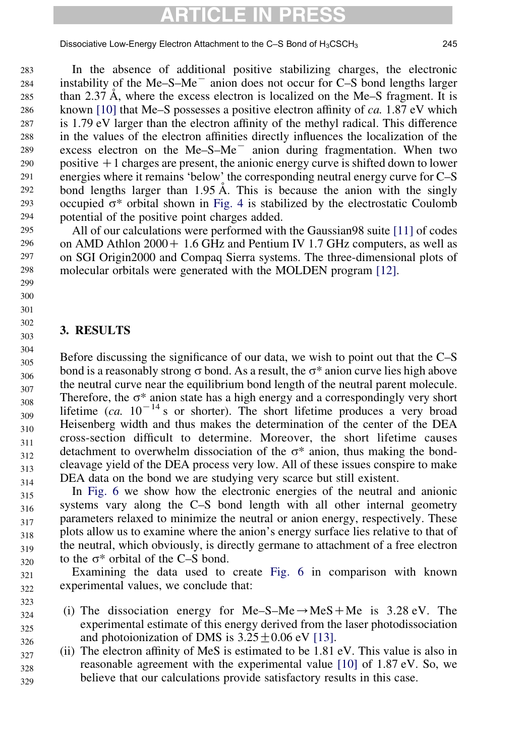Dissociative Low-Energy Electron Attachment to the C-S Bond of  $H_3CSCH_3$  245

In the absence of additional positive stabilizing charges, the electronic instability of the Me–S–Me $^{-}$  anion does not occur for C–S bond lengths larger than 2.37  $\AA$ , where the excess electron is localized on the Me–S fragment. It is known [\[10\]](#page-12-0) that Me–S possesses a positive electron affinity of ca. 1.87 eV which is 1.79 eV larger than the electron affinity of the methyl radical. This difference in the values of the electron affinities directly influences the localization of the excess electron on the  $Me-S-Me^-$  anion during fragmentation. When two positive  $+1$  charges are present, the anionic energy curve is shifted down to lower energies where it remains 'below' the corresponding neutral energy curve for C–S bond lengths larger than  $1.95 \text{ Å}$ . This is because the anion with the singly occupied  $\sigma^*$  orbital shown in [Fig. 4](#page-4-0) is stabilized by the electrostatic Coulomb potential of the positive point charges added. 283 284 285 286 287 288 289 290 291 292 293 294

All of our calculations were performed with the Gaussian98 suite [\[11\]](#page-12-0) of codes on AMD Athlon  $2000 + 1.6$  GHz and Pentium IV 1.7 GHz computers, as well as on SGI Origin2000 and Compaq Sierra systems. The three-dimensional plots of molecular orbitals were generated with the MOLDEN program [\[12\]](#page-12-0). 295 296 297 298

### 3. RESULTS

323

Before discussing the significance of our data, we wish to point out that the C–S bond is a reasonably strong  $\sigma$  bond. As a result, the  $\sigma^*$  anion curve lies high above the neutral curve near the equilibrium bond length of the neutral parent molecule. Therefore, the  $\sigma^*$  anion state has a high energy and a correspondingly very short lifetime (ca.  $10^{-14}$  s or shorter). The short lifetime produces a very broad Heisenberg width and thus makes the determination of the center of the DEA cross-section difficult to determine. Moreover, the short lifetime causes detachment to overwhelm dissociation of the  $\sigma^*$  anion, thus making the bondcleavage yield of the DEA process very low. All of these issues conspire to make DEA data on the bond we are studying very scarce but still existent. 304 305 306 307 308 309 310 311 312 313 314

In [Fig. 6](#page-7-0) we show how the electronic energies of the neutral and anionic systems vary along the C–S bond length with all other internal geometry parameters relaxed to minimize the neutral or anion energy, respectively. These plots allow us to examine where the anion's energy surface lies relative to that of the neutral, which obviously, is directly germane to attachment of a free electron to the  $\sigma^*$  orbital of the C–S bond. 315 316 317 318 319 320

Examining the data used to create [Fig. 6](#page-7-0) in comparison with known experimental values, we conclude that: 321 322

- (i) The dissociation energy for Me–S–Me $\rightarrow$ MeS+Me is 3.28 eV. The experimental estimate of this energy derived from the laser photodissociation and photoionization of DMS is  $3.25 \pm 0.06$  eV [\[13\].](#page-12-0) 324 325 326
- (ii) The electron affinity of MeS is estimated to be 1.81 eV. This value is also in reasonable agreement with the experimental value [\[10\]](#page-12-0) of 1.87 eV. So, we believe that our calculations provide satisfactory results in this case. 327 328 329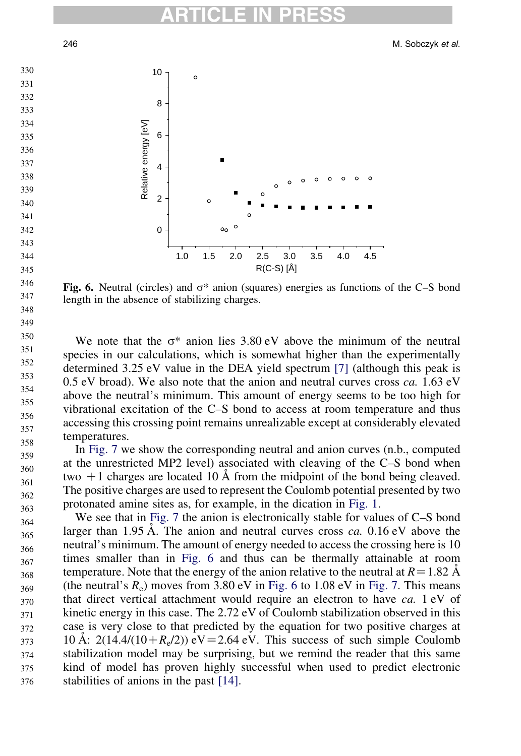<span id="page-7-0"></span>

Fig. 6. Neutral (circles) and  $\sigma^*$  anion (squares) energies as functions of the C–S bond length in the absence of stabilizing charges.

We note that the  $\sigma^*$  anion lies 3.80 eV above the minimum of the neutral species in our calculations, which is somewhat higher than the experimentally determined 3.25 eV value in the DEA yield spectrum [\[7\]](#page-12-0) (although this peak is  $0.5$  eV broad). We also note that the anion and neutral curves cross  $ca. 1.63$  eV above the neutral's minimum. This amount of energy seems to be too high for vibrational excitation of the C–S bond to access at room temperature and thus accessing this crossing point remains unrealizable except at considerably elevated temperatures.

In [Fig. 7](#page-8-0) we show the corresponding neutral and anion curves (n.b., computed at the unrestricted MP2 level) associated with cleaving of the C–S bond when two  $+1$  charges are located 10 Å from the midpoint of the bond being cleaved. The positive charges are used to represent the Coulomb potential presented by two protonated amine sites as, for example, in the dication in [Fig. 1.](#page-1-0) 

We see that in [Fig. 7](#page-8-0) the anion is electronically stable for values of C–S bond larger than 1.95 Å. The anion and neutral curves cross  $ca$ . 0.16 eV above the neutral's minimum. The amount of energy needed to access the crossing here is 10 times smaller than in Fig. 6 and thus can be thermally attainable at room temperature. Note that the energy of the anion relative to the neutral at  $R=1.82 \text{ Å}$ (the neutral's  $R_e$ ) moves from 3.80 eV in Fig. 6 to 1.08 eV in [Fig. 7](#page-8-0). This means that direct vertical attachment would require an electron to have ca. 1 eV of kinetic energy in this case. The 2.72 eV of Coulomb stabilization observed in this case is very close to that predicted by the equation for two positive charges at 10 Å: 2(14.4/(10+ $R_e/2$ )) eV = 2.64 eV. This success of such simple Coulomb stabilization model may be surprising, but we remind the reader that this same kind of model has proven highly successful when used to predict electronic stabilities of anions in the past [\[14\]](#page-12-0).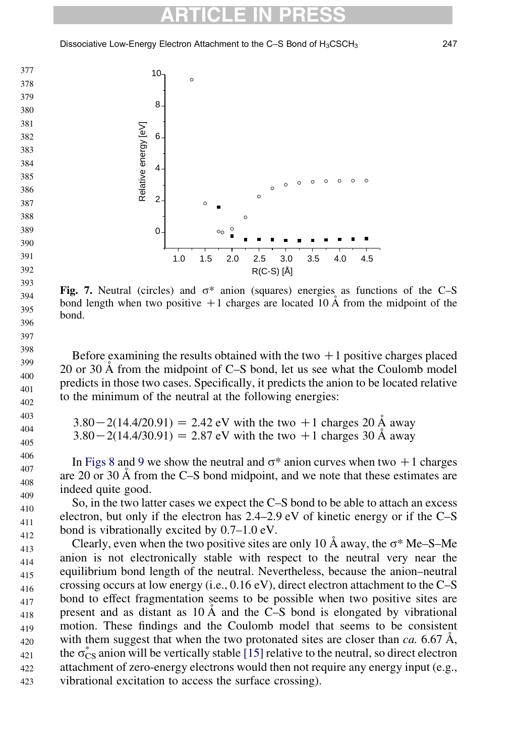<span id="page-8-0"></span>Dissociative Low-Energy Electron Attachment to the C-S Bond of H<sub>3</sub>CSCH<sub>3</sub> 247



Fig. 7. Neutral (circles) and  $\sigma^*$  anion (squares) energies as functions of the C–S bond length when two positive  $+1$  charges are located 10 Å from the midpoint of the bond.

Before examining the results obtained with the two  $+1$  positive charges placed 20 or 30  $\AA$  from the midpoint of C–S bond, let us see what the Coulomb model predicts in those two cases. Specifically, it predicts the anion to be located relative to the minimum of the neutral at the following energies:

| $3.80 - 2(14.4/20.91) = 2.42$ eV with the two +1 charges 20 A away |  |
|--------------------------------------------------------------------|--|
| $3.80 - 2(14.4/30.91) = 2.87$ eV with the two +1 charges 30 A away |  |

In Figs 8 and 9 we show the neutral and  $\sigma^*$  anion curves when two +1 charges are 20 or 30 A˚ from the C–S bond midpoint, and we note that these estimates are indeed quite good.

So, in the two latter cases we expect the C–S bond to be able to attach an excess electron, but only if the electron has 2.4–2.9 eV of kinetic energy or if the C–S bond is vibrationally excited by 0.7–1.0 eV. 

Clearly, even when the two positive sites are only 10  $\AA$  away, the  $\sigma^*$  Me–S–Me anion is not electronically stable with respect to the neutral very near the equilibrium bond length of the neutral. Nevertheless, because the anion–neutral crossing occurs at low energy (i.e., 0.16 eV), direct electron attachment to the C–S bond to effect fragmentation seems to be possible when two positive sites are present and as distant as  $10 \text{ Å}$  and the C–S bond is elongated by vibrational motion. These findings and the Coulomb model that seems to be consistent with them suggest that when the two protonated sites are closer than  $ca$ . 6.67 Å, the  $\sigma_{CS}^*$  anion will be vertically stable [\[15\]](#page-12-0) relative to the neutral, so direct electron attachment of zero-energy electrons would then not require any energy input (e.g., vibrational excitation to access the surface crossing).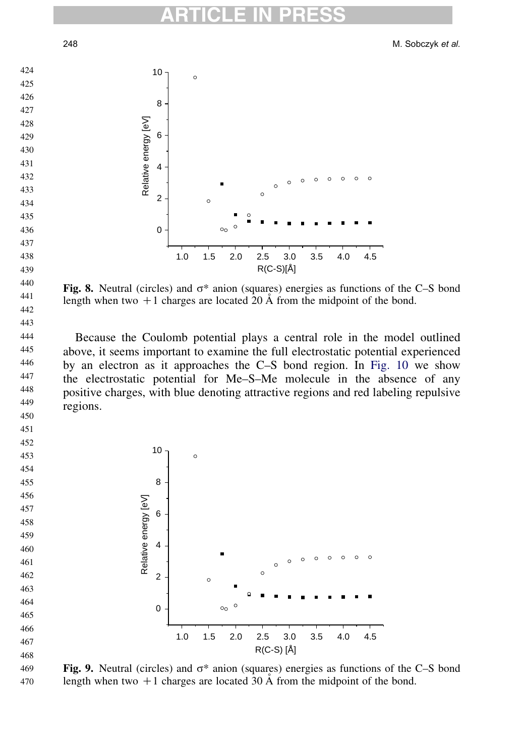M. Sobczyk et al.



Fig. 8. Neutral (circles) and  $\sigma^*$  anion (squares) energies as functions of the C–S bond length when two  $+1$  charges are located 20 Å from the midpoint of the bond.

Because the Coulomb potential plays a central role in the model outlined above, it seems important to examine the full electrostatic potential experienced by an electron as it approaches the C–S bond region. In [Fig. 10](#page-10-0) we show the electrostatic potential for Me–S–Me molecule in the absence of any positive charges, with blue denoting attractive regions and red labeling repulsive regions.



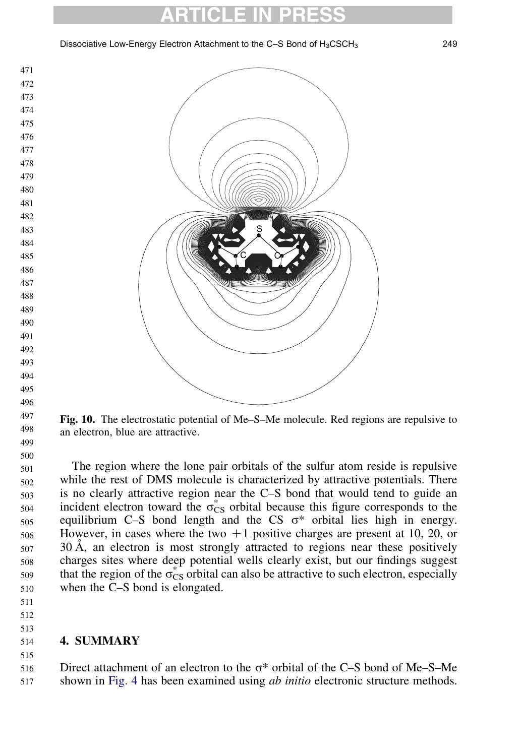Dissociative Low-Energy Electron Attachment to the C-S Bond of H<sub>3</sub>CSCH<sub>3</sub> 249

<span id="page-10-0"></span>

Fig. 10. The electrostatic potential of Me–S–Me molecule. Red regions are repulsive to an electron, blue are attractive.

The region where the lone pair orbitals of the sulfur atom reside is repulsive while the rest of DMS molecule is characterized by attractive potentials. There is no clearly attractive region near the C–S bond that would tend to guide an incident electron toward the  $\sigma_{CS}^*$  orbital because this figure corresponds to the equilibrium C–S bond length and the CS  $\sigma^*$  orbital lies high in energy. However, in cases where the two  $+1$  positive charges are present at 10, 20, or  $30 \text{ Å}$ , an electron is most strongly attracted to regions near these positively charges sites where deep potential wells clearly exist, but our findings suggest that the region of the  $\sigma_{CS}^*$  orbital can also be attractive to such electron, especially when the C–S bond is elongated. 

 

 

#### 4. SUMMARY

 

Direct attachment of an electron to the  $\sigma^*$  orbital of the C–S bond of Me–S–Me shown in [Fig. 4](#page-4-0) has been examined using *ab initio* electronic structure methods.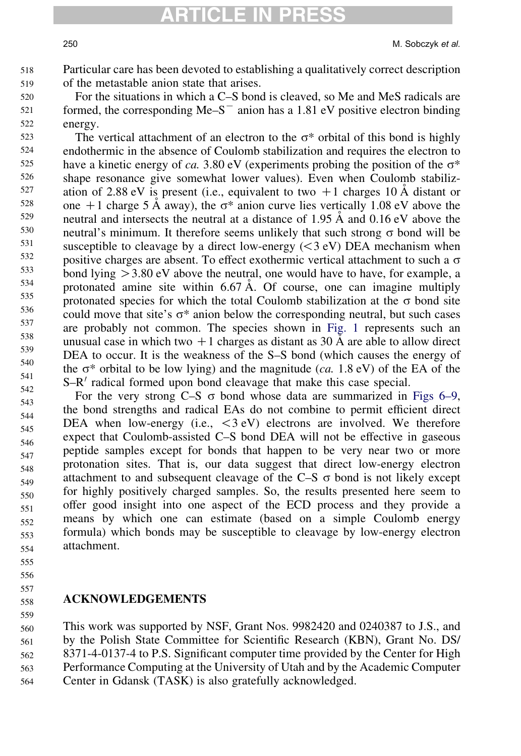250 M. Sobczyk et al.

Particular care has been devoted to establishing a qualitatively correct description of the metastable anion state that arises. 518 519

For the situations in which a C–S bond is cleaved, so Me and MeS radicals are formed, the corresponding  $Me-S^-$  anion has a 1.81 eV positive electron binding energy. 520 521 522

The vertical attachment of an electron to the  $\sigma^*$  orbital of this bond is highly endothermic in the absence of Coulomb stabilization and requires the electron to have a kinetic energy of ca. 3.80 eV (experiments probing the position of the  $\sigma^*$ shape resonance give somewhat lower values). Even when Coulomb stabilization of 2.88 eV is present (i.e., equivalent to two  $+1$  charges 10 Å distant or one +1 charge 5 Å away), the  $\sigma^*$  anion curve lies vertically 1.08 eV above the neutral and intersects the neutral at a distance of 1.95  $\AA$  and 0.16 eV above the neutral's minimum. It therefore seems unlikely that such strong  $\sigma$  bond will be susceptible to cleavage by a direct low-energy  $( $3 \text{ eV}$ )$  DEA mechanism when positive charges are absent. To effect exothermic vertical attachment to such a  $\sigma$ bond lying  $>$  3.80 eV above the neutral, one would have to have, for example, a protonated amine site within  $6.67 \text{ Å}$ . Of course, one can imagine multiply protonated species for which the total Coulomb stabilization at the  $\sigma$  bond site could move that site's  $\sigma^*$  anion below the corresponding neutral, but such cases are probably not common. The species shown in [Fig. 1](#page-1-0) represents such an unusual case in which two  $+1$  charges as distant as 30 Å are able to allow direct DEA to occur. It is the weakness of the S–S bond (which causes the energy of the  $\sigma^*$  orbital to be low lying) and the magnitude (ca. 1.8 eV) of the EA of the  $S-R'$  radical formed upon bond cleavage that make this case special. 523 524 525 526 527 528 529 530 531 532 533 534 535 536 537 538 539 540 541 542

For the very strong C–S  $\sigma$  bond whose data are summarized in [Figs 6–9](#page-7-0), the bond strengths and radical EAs do not combine to permit efficient direct DEA when low-energy (i.e.,  $\langle 3 \rangle$  electrons are involved. We therefore expect that Coulomb-assisted C–S bond DEA will not be effective in gaseous peptide samples except for bonds that happen to be very near two or more protonation sites. That is, our data suggest that direct low-energy electron attachment to and subsequent cleavage of the  $C-S$   $\sigma$  bond is not likely except for highly positively charged samples. So, the results presented here seem to offer good insight into one aspect of the ECD process and they provide a means by which one can estimate (based on a simple Coulomb energy formula) which bonds may be susceptible to cleavage by low-energy electron attachment. 543 544 545 546 547 548 549 550 551 552 553 554

555

556 557

559

#### ACKNOWLEDGEMENTS 558

This work was supported by NSF, Grant Nos. 9982420 and 0240387 to J.S., and by the Polish State Committee for Scientific Research (KBN), Grant No. DS/ 8371-4-0137-4 to P.S. Significant computer time provided by the Center for High Performance Computing at the University of Utah and by the Academic Computer Center in Gdansk (TASK) is also gratefully acknowledged. 560 561 562 563 564